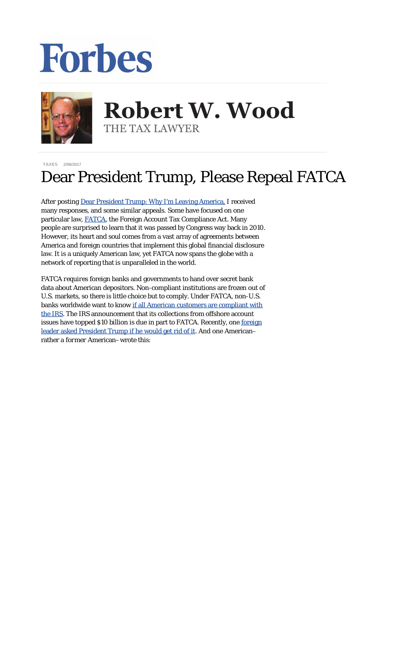## Forbes



## **Robert W. Wood Robert W. Wood** THE TAX LAWYER THE TAX LAWYER

[TAXES](http://www.forbes.com/taxes) 2/06/2017

## Dear President Trump, Please Repeal FATCA

After posting [Dear President Trump: Why I'm Leaving America,](https://www.google.com/url?sa=t&rct=j&q=&esrc=s&source=web&cd=1&cad=rja&uact=8&ved=0ahUKEwjwnui2vvfRAhXMKyYKHRP1A-sQFggiMAA&url=http%3A%2F%2Fwww.forbes.com%2Fsites%2Frobertwood%2F2017%2F01%2F23%2Fdear-president-trump-why-im-leaving-america%2F&usg=AFQjCNFcpWlXddIamRCXBXBON4bnNC_Gvw&bvm=bv.146094739,d.eWE) I received many responses, and some similar appeals. Some have focused on one particular law, [FATCA](http://www.irs.gov/businesses/corporations/article/0,,id=236667,00.html), the Foreign Account Tax Compliance Act. Many people are surprised to learn that it was passed by Congress way back in 2010. However, its heart and soul comes from a vast array of agreements between America and foreign countries that implement this global financial disclosure law. It is a uniquely American law, yet FATCA now spans the globe with a network of reporting that is unparalleled in the world.

FATCA *requires* foreign banks and governments to hand over secret bank data about American depositors. Non-compliant institutions are frozen out of U.S. markets, so there is little choice but to comply. Under FATCA, non-U.S. banks worldwide want to know [if all American customers are compliant with](http://www.forbes.com/sites/robertwood/2013/12/04/what-to-say-when-not-if-your-offshore-bank-asks-are-you-compliant-with-irs/) [the IRS](http://www.forbes.com/sites/robertwood/2013/12/04/what-to-say-when-not-if-your-offshore-bank-asks-are-you-compliant-with-irs/). The IRS announcement that its collections from offshore account issues have topped \$10 *billion* is due in part to FATCA. Recently, one [foreign](https://www.wsj.com/articles/taming-irs-imperialism-1486166764) [leader asked President Trump if he would get rid of it](https://www.wsj.com/articles/taming-irs-imperialism-1486166764). And one American– rather a *former* American–wrote this: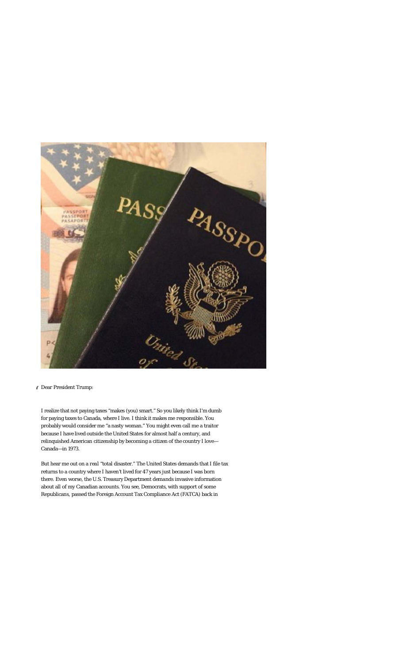

## **6** Dear President Trump:

I realize that not paying taxes "makes (you) smart." So you likely think I'm dumb for paying taxes to Canada, where I live. I think it makes me *responsible*. You probably would consider me "a nasty woman." You might even call me a traitor because I have lived outside the United States for almost half a century, and relinquished American citizenship by becoming a citizen of the country I love— Canada—in 1973.

But hear me out on a *real* "total disaster." The United States demands that I file tax returns to a country where I haven't lived for 47 years just because I was born there. Even worse, the U.S. Treasury Department *demands* invasive information about all of my Canadian accounts. You see, Democrats, with support of some Republicans, passed the Foreign Account Tax Compliance Act (FATCA) back in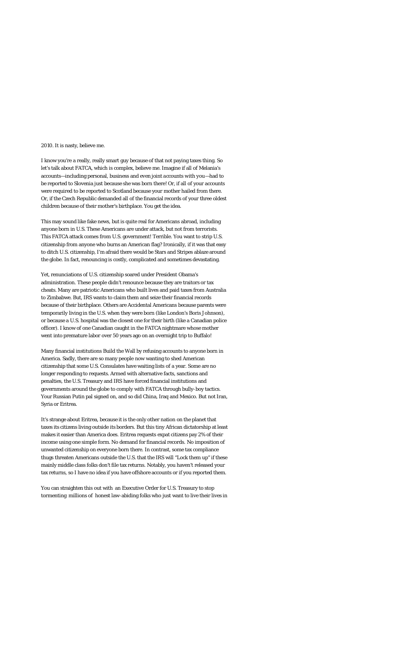2010. It is nasty, believe me.

I know you're a really, really smart guy because of that not paying taxes thing. So let's talk about FATCA, which is complex, believe me. Imagine if all of Melania's accounts—including personal, business and *even joint accounts with you*—had to be reported to Slovenia just because she was born there! Or, if all of your accounts were required to be reported to Scotland because your mother hailed from there. Or, if the Czech Republic demanded all of the financial records of your three oldest children because of their mother's birthplace. You get the idea.

This may *sound* like fake news, but is quite real for Americans abroad, including anyone born in U.S. These Americans are under attack, but not from terrorists. This FATCA attack comes from U.S. government! Terrible. You want to strip U.S. citizenship from anyone who burns an American flag? Ironically, if it was that easy to ditch U.S. citizenship, I'm afraid there would be Stars and Stripes ablaze around the globe. In fact, renouncing is costly, complicated and sometimes devastating.

Yet, renunciations of U.S. citizenship soared under President Obama's administration. These people didn't renounce because they are traitors or tax cheats. Many are patriotic Americans who built lives and paid taxes from Australia to Zimbabwe. But, IRS wants to claim them and seize their financial records because of their birthplace. Others are Accidental Americans because parents were temporarily living in the U.S. when they were born (like London's Boris Johnson), or because a U.S. hospital was the closest one for their birth (like a Canadian police officer). I know of one Canadian caught in the FATCA nightmare whose mother went into premature labor over 50 years ago on an overnight trip to Buffalo!

Many financial institutions Build the Wall by refusing accounts to anyone born in America. Sadly, there are so many people now wanting to shed American citizenship that some U.S. Consulates have waiting lists of a year. Some are no longer responding to requests. Armed with alternative facts, sanctions and penalties, the U.S. Treasury and IRS have forced financial institutions and governments around the globe to comply with FATCA through bully-boy tactics. Your Russian Putin pal signed on, and so did China, Iraq and Mexico. But not Iran, Syria or Eritrea.

It's strange about Eritrea, because it is the only other nation on the planet that taxes its citizens living outside its borders. But this tiny African dictatorship at least makes it easier than America does. Eritrea requests expat citizens pay 2% of their income using one simple form. No demand for financial records. No imposition of unwanted citizenship on everyone born there. In contrast, some tax compliance thugs threaten Americans outside the U.S. that the IRS will "Lock them up" if these mainly middle class folks don't file tax returns. Notably, you haven't released your tax returns, so I have no idea if you have offshore accounts or if you reported them.

You can straighten this out with an Executive Order for U.S. Treasury to stop tormenting millions of honest law-abiding folks who just want to live their lives in